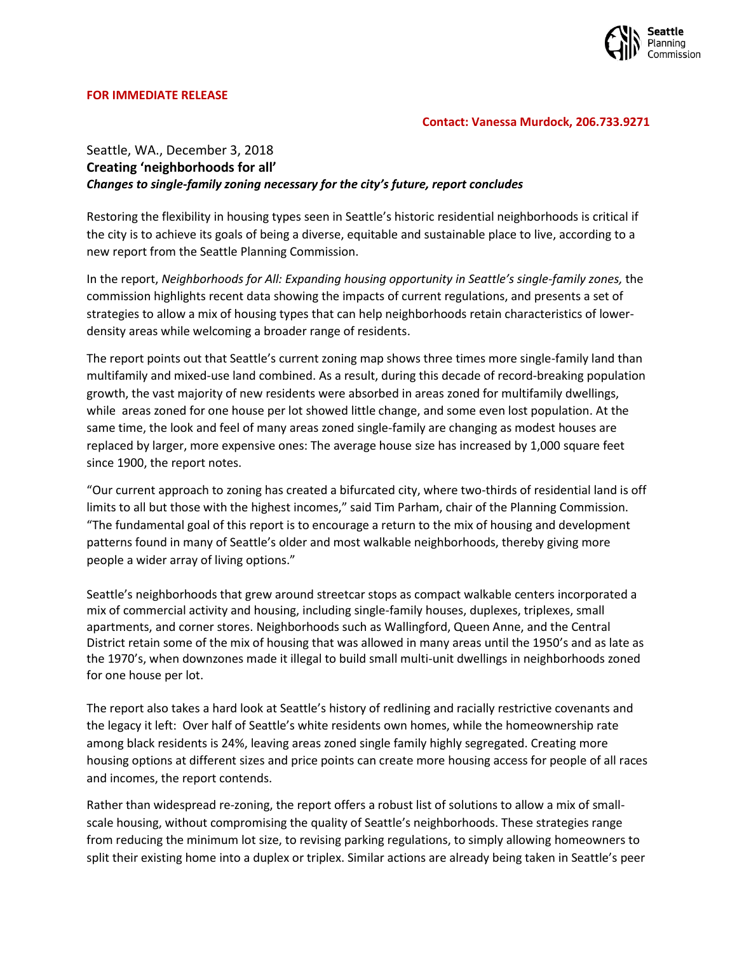

## **FOR IMMEDIATE RELEASE**

## **Contact: Vanessa Murdock, 206.733.9271**

## Seattle, WA., December 3, 2018 **Creating 'neighborhoods for all'** *Changes to single-family zoning necessary for the city's future, report concludes*

Restoring the flexibility in housing types seen in Seattle's historic residential neighborhoods is critical if the city is to achieve its goals of being a diverse, equitable and sustainable place to live, according to a new report from the Seattle Planning Commission.

In the report, *Neighborhoods for All: Expanding housing opportunity in Seattle's single-family zones,* the commission highlights recent data showing the impacts of current regulations, and presents a set of strategies to allow a mix of housing types that can help neighborhoods retain characteristics of lowerdensity areas while welcoming a broader range of residents.

The report points out that Seattle's current zoning map shows three times more single-family land than multifamily and mixed-use land combined. As a result, during this decade of record-breaking population growth, the vast majority of new residents were absorbed in areas zoned for multifamily dwellings, while areas zoned for one house per lot showed little change, and some even lost population. At the same time, the look and feel of many areas zoned single-family are changing as modest houses are replaced by larger, more expensive ones: The average house size has increased by 1,000 square feet since 1900, the report notes.

"Our current approach to zoning has created a bifurcated city, where two-thirds of residential land is off limits to all but those with the highest incomes," said Tim Parham, chair of the Planning Commission. "The fundamental goal of this report is to encourage a return to the mix of housing and development patterns found in many of Seattle's older and most walkable neighborhoods, thereby giving more people a wider array of living options."

Seattle's neighborhoods that grew around streetcar stops as compact walkable centers incorporated a mix of commercial activity and housing, including single-family houses, duplexes, triplexes, small apartments, and corner stores. Neighborhoods such as Wallingford, Queen Anne, and the Central District retain some of the mix of housing that was allowed in many areas until the 1950's and as late as the 1970's, when downzones made it illegal to build small multi-unit dwellings in neighborhoods zoned for one house per lot.

The report also takes a hard look at Seattle's history of redlining and racially restrictive covenants and the legacy it left: Over half of Seattle's white residents own homes, while the homeownership rate among black residents is 24%, leaving areas zoned single family highly segregated. Creating more housing options at different sizes and price points can create more housing access for people of all races and incomes, the report contends.

Rather than widespread re-zoning, the report offers a robust list of solutions to allow a mix of smallscale housing, without compromising the quality of Seattle's neighborhoods. These strategies range from reducing the minimum lot size, to revising parking regulations, to simply allowing homeowners to split their existing home into a duplex or triplex. Similar actions are already being taken in Seattle's peer